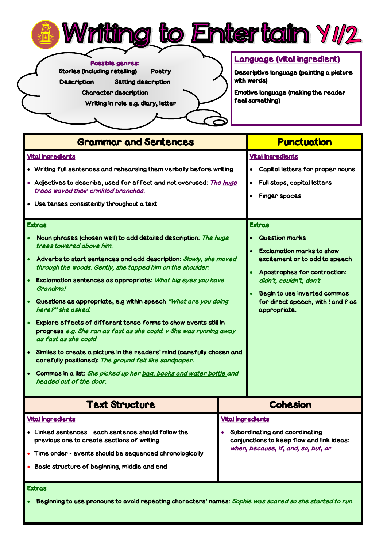



Possible genres:

Stories (including retelling) Poetry

Description Setting description

Character description

Writing in role e.g. diary, letter

## Language (vital ingredient)

Descriptive language (painting a picture with words)

Emotive language (making the reader feel something)

| <b>Grammar and Sentences</b>                                                                                                                                                                                                                                                                                                                                                                                                                                                                                                                                                                                                                                                                                                                                                                                                                                                                                                                                                                | <b>Punctuation</b>                                                                                                                                                                                                                                                                                                                                                                                |  |
|---------------------------------------------------------------------------------------------------------------------------------------------------------------------------------------------------------------------------------------------------------------------------------------------------------------------------------------------------------------------------------------------------------------------------------------------------------------------------------------------------------------------------------------------------------------------------------------------------------------------------------------------------------------------------------------------------------------------------------------------------------------------------------------------------------------------------------------------------------------------------------------------------------------------------------------------------------------------------------------------|---------------------------------------------------------------------------------------------------------------------------------------------------------------------------------------------------------------------------------------------------------------------------------------------------------------------------------------------------------------------------------------------------|--|
| <b>Vital Ingredients</b><br>• Writing full sentences and rehearsing them verbally before writing<br>Adjectives to describe, used for effect and not overused: The huge<br>trees waved their crinkled branches.<br>• Use tenses consistently throughout a text<br><b>Extras</b><br>Noun phrases (chosen well) to add detailed description: The huge<br>trees towered above him.<br>Adverbs to start sentences and add description: Slowly, she moved<br>through the woods. Gently, she tapped him on the shoulder.<br>Exclamation sentences as appropriate: What big eyes you have<br>Grandma!<br>Questions as appropriate, e.g within speech "What are you doing<br>here?" she asked.<br>Explore effects of different tense forms to show events still in<br>progress e.g. She ran as fast as she could. v She was running away<br>as fast as she could<br>Similes to create a picture in the readers' mind (carefully chosen and<br>carefully positioned): The ground felt like sandpaper. | <b>Vital Ingredients</b><br>Capital letters for proper nouns<br>Full stops, capital letters<br>$\bullet$<br><b>Finger spaces</b><br><b>Extras</b><br><b>Question marks</b><br><b>Exclamation marks to show</b><br>excitement or to add to speech<br>Apostrophes for contraction:<br>didn't, couldn't, don't<br>Begin to use inverted commas<br>for direct speech, with ! and ? as<br>appropriate. |  |
| Commas in a list: She picked up her bag, books and water bottle and<br>headed out of the door.                                                                                                                                                                                                                                                                                                                                                                                                                                                                                                                                                                                                                                                                                                                                                                                                                                                                                              |                                                                                                                                                                                                                                                                                                                                                                                                   |  |
| <b>Text Structure</b>                                                                                                                                                                                                                                                                                                                                                                                                                                                                                                                                                                                                                                                                                                                                                                                                                                                                                                                                                                       | <b>Cohesion</b>                                                                                                                                                                                                                                                                                                                                                                                   |  |
| <b>Vital Ingredients</b><br>Linked sentences each sentence should follow the<br>previous one to create sections of writing.<br>Time order - events should be sequenced chronologically<br>Basic structure of beginning, middle and end                                                                                                                                                                                                                                                                                                                                                                                                                                                                                                                                                                                                                                                                                                                                                      | <b>Vital Ingredients</b><br>Subordinating and coordinating<br>conjunctions to keep flow and link ideas:<br>when, because, if, and, so, but, or                                                                                                                                                                                                                                                    |  |

## Extras

Beginning to use pronouns to avoid repeating characters' names: Sophie was scared so she started to run.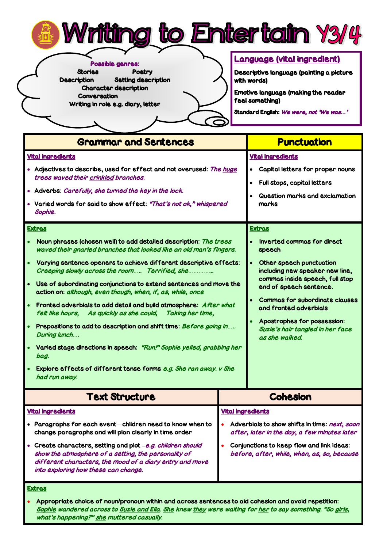

Possible genres: Stories Poetry Description Setting description Character description Conversation Writing in role e.g. diary, letter

## Language (vital ingredient)

Descriptive language (painting a picture with words)

Emotive language (making the reader feel something)

Standard English: We were, not 'We was*…*'

| <b>Grammar and Sentences</b>                                                                                                                                                                                                                                                                                                                                                                                                                                                                                                                                                                                                                                                                                                                                                                                          | <b>Punctuation</b>                                                                                                                                                                                                                                                                                                                     |  |
|-----------------------------------------------------------------------------------------------------------------------------------------------------------------------------------------------------------------------------------------------------------------------------------------------------------------------------------------------------------------------------------------------------------------------------------------------------------------------------------------------------------------------------------------------------------------------------------------------------------------------------------------------------------------------------------------------------------------------------------------------------------------------------------------------------------------------|----------------------------------------------------------------------------------------------------------------------------------------------------------------------------------------------------------------------------------------------------------------------------------------------------------------------------------------|--|
| <b>Vital Ingredients</b><br>Adjectives to describe, used for effect and not overused: The huge<br>trees waved their crinkled branches.<br>• Adverbs: Carefully, she turned the key in the lock.<br>Varied words for said to show effect: "That's not ok," whispered<br>Sophie.<br><b>Extras</b>                                                                                                                                                                                                                                                                                                                                                                                                                                                                                                                       | <b>Vital Ingredients</b><br>Capital letters for proper nouns<br>$\bullet$<br>Full stops, capital letters<br>$\bullet$<br>Question marks and exclamation<br>marks<br><b>Extras</b>                                                                                                                                                      |  |
| Noun phrases (chosen well) to add detailed description: The trees<br>waved their gnarled branches that looked like an old man's fingers.<br>Varying sentence openers to achieve different descriptive effects:<br>Creeping slowly across the room Terrified, she<br>Use of subordinating conjunctions to extend sentences and move the<br>$\bullet$<br>action on: although, even though, when, if, as, while, once<br>Fronted adverbials to add detail and build atmosphere: After what<br>felt like hours, As quickly as she could,<br>Taking her time,<br>Prepositions to add to description and shift time: Before going in<br>During lunch<br>Varied stage directions in speech: "Run!" Sophie yelled, grabbing her<br>bag.<br>Explore effects of different tense forms e.g. She ran away. v She<br>had run away. | Inverted commas for direct<br>speech<br>$\bullet$<br>Other speech punctuation<br>including new speaker new line,<br>commas inside speech, full stop<br>end of speech sentence.<br><b>Commas for subordinate clauses</b><br>and fronted adverbials<br>Apostrophes for possession:<br>Suzie's hair tangled in her face<br>as she walked. |  |
| <b>Text Structure</b>                                                                                                                                                                                                                                                                                                                                                                                                                                                                                                                                                                                                                                                                                                                                                                                                 | <b>Cohesion</b>                                                                                                                                                                                                                                                                                                                        |  |
| <b>Vital Ingredients</b><br>Paragraphs for each event-children need to know when to<br>change paragraphs and will plan clearly in time order<br>Create characters, setting and plot -e.g. children should<br>show the atmosphere of a setting, the personality of<br>different characters, the mood of a diary entry and move<br>into exploring how these can change.<br><b>Extras</b>                                                                                                                                                                                                                                                                                                                                                                                                                                | <b>Vital Ingredients</b><br>Adverbials to show shifts in time: next, soon<br>after, later in the day, a few minutes later<br>Conjunctions to keep flow and link ideas:<br>before, after, while, when, as, so, because                                                                                                                  |  |

 Appropriate choice of noun/pronoun within and across sentences to aid cohesion and avoid repetition: Sophie wandered across to Suzie and Ella. She knew they were waiting for her to say something. "So girls, what's happening?" she muttered casually.